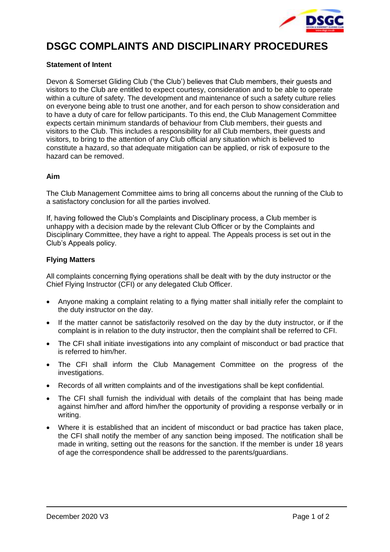

# **DSGC COMPLAINTS AND DISCIPLINARY PROCEDURES**

## **Statement of Intent**

Devon & Somerset Gliding Club ('the Club') believes that Club members, their guests and visitors to the Club are entitled to expect courtesy, consideration and to be able to operate within a culture of safety. The development and maintenance of such a safety culture relies on everyone being able to trust one another, and for each person to show consideration and to have a duty of care for fellow participants. To this end, the Club Management Committee expects certain minimum standards of behaviour from Club members, their guests and visitors to the Club. This includes a responsibility for all Club members, their guests and visitors, to bring to the attention of any Club official any situation which is believed to constitute a hazard, so that adequate mitigation can be applied, or risk of exposure to the hazard can be removed.

### **Aim**

The Club Management Committee aims to bring all concerns about the running of the Club to a satisfactory conclusion for all the parties involved.

If, having followed the Club's Complaints and Disciplinary process, a Club member is unhappy with a decision made by the relevant Club Officer or by the Complaints and Disciplinary Committee, they have a right to appeal. The Appeals process is set out in the Club's Appeals policy.

### **Flying Matters**

All complaints concerning flying operations shall be dealt with by the duty instructor or the Chief Flying Instructor (CFI) or any delegated Club Officer.

- Anyone making a complaint relating to a flying matter shall initially refer the complaint to the duty instructor on the day.
- If the matter cannot be satisfactorily resolved on the day by the duty instructor, or if the complaint is in relation to the duty instructor, then the complaint shall be referred to CFI.
- The CFI shall initiate investigations into any complaint of misconduct or bad practice that is referred to him/her.
- The CFI shall inform the Club Management Committee on the progress of the investigations.
- Records of all written complaints and of the investigations shall be kept confidential.
- The CFI shall furnish the individual with details of the complaint that has being made against him/her and afford him/her the opportunity of providing a response verbally or in writing.
- Where it is established that an incident of misconduct or bad practice has taken place, the CFI shall notify the member of any sanction being imposed. The notification shall be made in writing, setting out the reasons for the sanction. If the member is under 18 years of age the correspondence shall be addressed to the parents/guardians.